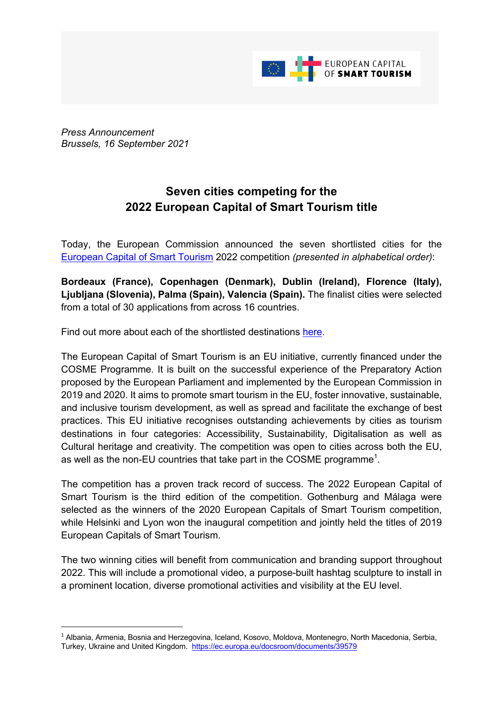

*Press Announcement Brussels, 16 September 2021*

## **Seven cities competing for the 2022 European Capital of Smart Tourism title**

Today, the European Commission announced the seven shortlisted cities for the European Capital of Smart Tourism 2022 competition *(presented in alphabetical order)*:

**Bordeaux (France), Copenhagen (Denmark), Dublin (Ireland), Florence (Italy), Ljubljana (Slovenia), Palma (Spain), Valencia (Spain).** The finalist cities were selected from a total of 30 applications from across 16 countries.

Find out more about each of the shortlisted destinations here.

The European Capital of Smart Tourism is an EU initiative, currently financed under the COSME Programme. It is built on the successful experience of the Preparatory Action proposed by the European Parliament and implemented by the European Commission in 2019 and 2020. It aims to promote smart tourism in the EU, foster innovative, sustainable, and inclusive tourism development, as well as spread and facilitate the exchange of best practices. This EU initiative recognises outstanding achievements by cities as tourism destinations in four categories: Accessibility, Sustainability, Digitalisation as well as Cultural heritage and creativity. The competition was open to cities across both the EU, as well as the non-EU countries that take part in the COSME programme<sup>1</sup>.

The competition has a proven track record of success. The 2022 European Capital of Smart Tourism is the third edition of the competition. Gothenburg and Málaga were selected as the winners of the 2020 European Capitals of Smart Tourism competition, while Helsinki and Lyon won the inaugural competition and jointly held the titles of 2019 European Capitals of Smart Tourism.

The two winning cities will benefit from communication and branding support throughout 2022. This will include a promotional video, a purpose-built hashtag sculpture to install in a prominent location, diverse promotional activities and visibility at the EU level.

<sup>1</sup> Albania, Armenia, Bosnia and Herzegovina, Iceland, Kosovo, Moldova, Montenegro, North Macedonia, Serbia, Turkey, Ukraine and United Kingdom. https://ec.europa.eu/docsroom/documents/39579